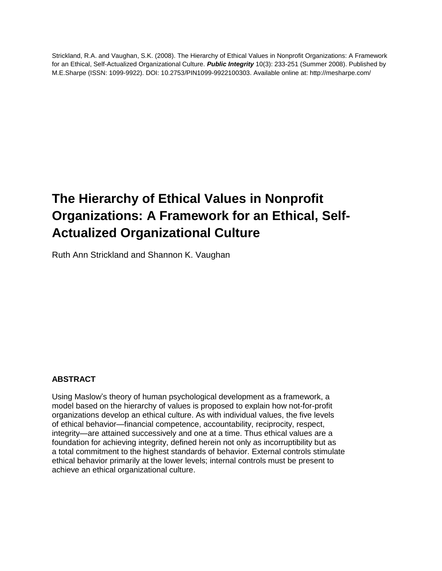Strickland, R.A. and Vaughan, S.K. (2008). The Hierarchy of Ethical Values in Nonprofit Organizations: A Framework for an Ethical, Self-Actualized Organizational Culture. *Public Integrity* 10(3): 233-251 (Summer 2008). Published by M.E.Sharpe (ISSN: 1099-9922). DOI: 10.2753/PIN1099-9922100303. Available online at: http://mesharpe.com/

# **The Hierarchy of Ethical Values in Nonprofit Organizations: A Framework for an Ethical, Self-Actualized Organizational Culture**

Ruth Ann Strickland and Shannon K. Vaughan

# **ABSTRACT**

Using Maslow's theory of human psychological development as a framework, a model based on the hierarchy of values is proposed to explain how not-for-profit organizations develop an ethical culture. As with individual values, the five levels of ethical behavior—financial competence, accountability, reciprocity, respect, integrity—are attained successively and one at a time. Thus ethical values are a foundation for achieving integrity, defined herein not only as incorruptibility but as a total commitment to the highest standards of behavior. External controls stimulate ethical behavior primarily at the lower levels; internal controls must be present to achieve an ethical organizational culture.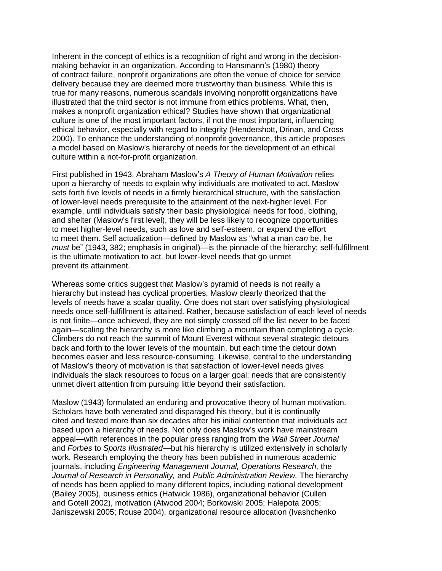Inherent in the concept of ethics is a recognition of right and wrong in the decisionmaking behavior in an organization. According to Hansmann's (1980) theory of contract failure, nonprofit organizations are often the venue of choice for service delivery because they are deemed more trustworthy than business. While this is true for many reasons, numerous scandals involving nonprofit organizations have illustrated that the third sector is not immune from ethics problems. What, then, makes a nonprofit organization ethical? Studies have shown that organizational culture is one of the most important factors, if not the most important, influencing ethical behavior, especially with regard to integrity (Hendershott, Drinan, and Cross 2000). To enhance the understanding of nonprofit governance, this article proposes a model based on Maslow's hierarchy of needs for the development of an ethical culture within a not-for-profit organization.

First published in 1943, Abraham Maslow's *A Theory of Human Motivation* relies upon a hierarchy of needs to explain why individuals are motivated to act. Maslow sets forth five levels of needs in a firmly hierarchical structure, with the satisfaction of lower-level needs prerequisite to the attainment of the next-higher level. For example, until individuals satisfy their basic physiological needs for food, clothing, and shelter (Maslow's first level), they will be less likely to recognize opportunities to meet higher-level needs, such as love and self-esteem, or expend the effort to meet them. Self actualization—defined by Maslow as "what a man *can* be, he *must* be" (1943, 382; emphasis in original)—is the pinnacle of the hierarchy; self-fulfillment is the ultimate motivation to act, but lower-level needs that go unmet prevent its attainment.

Whereas some critics suggest that Maslow's pyramid of needs is not really a hierarchy but instead has cyclical properties, Maslow clearly theorized that the levels of needs have a scalar quality. One does not start over satisfying physiological needs once self-fulfillment is attained. Rather, because satisfaction of each level of needs is not finite—once achieved, they are not simply crossed off the list never to be faced again—scaling the hierarchy is more like climbing a mountain than completing a cycle. Climbers do not reach the summit of Mount Everest without several strategic detours back and forth to the lower levels of the mountain, but each time the detour down becomes easier and less resource-consuming. Likewise, central to the understanding of Maslow's theory of motivation is that satisfaction of lower-level needs gives individuals the slack resources to focus on a larger goal; needs that are consistently unmet divert attention from pursuing little beyond their satisfaction.

Maslow (1943) formulated an enduring and provocative theory of human motivation. Scholars have both venerated and disparaged his theory, but it is continually cited and tested more than six decades after his initial contention that individuals act based upon a hierarchy of needs. Not only does Maslow's work have mainstream appeal—with references in the popular press ranging from the *Wall Street Journal* and *Forbes* to *Sports Illustrated—*but his hierarchy is utilized extensively in scholarly work. Research employing the theory has been published in numerous academic journals, including *Engineering Management Journal, Operations Research,* the *Journal of Research in Personality,* and *Public Administration Review.* The hierarchy of needs has been applied to many different topics, including national development (Bailey 2005), business ethics (Hatwick 1986), organizational behavior (Cullen and Gotell 2002), motivation (Atwood 2004; Borkowski 2005; Halepota 2005; Janiszewski 2005; Rouse 2004), organizational resource allocation (Ivashchenko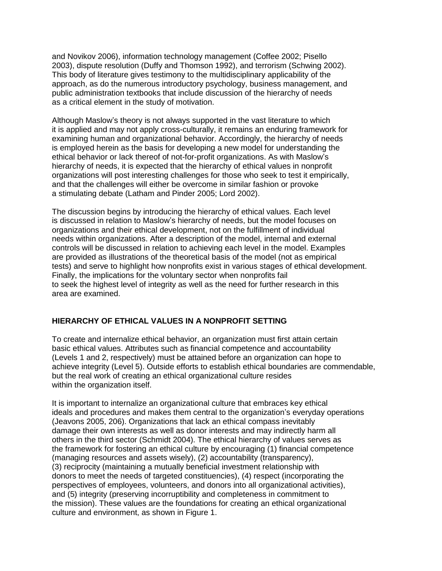and Novikov 2006), information technology management (Coffee 2002; Pisello 2003), dispute resolution (Duffy and Thomson 1992), and terrorism (Schwing 2002). This body of literature gives testimony to the multidisciplinary applicability of the approach, as do the numerous introductory psychology, business management, and public administration textbooks that include discussion of the hierarchy of needs as a critical element in the study of motivation.

Although Maslow's theory is not always supported in the vast literature to which it is applied and may not apply cross-culturally, it remains an enduring framework for examining human and organizational behavior. Accordingly, the hierarchy of needs is employed herein as the basis for developing a new model for understanding the ethical behavior or lack thereof of not-for-profit organizations. As with Maslow's hierarchy of needs, it is expected that the hierarchy of ethical values in nonprofit organizations will post interesting challenges for those who seek to test it empirically, and that the challenges will either be overcome in similar fashion or provoke a stimulating debate (Latham and Pinder 2005; Lord 2002).

The discussion begins by introducing the hierarchy of ethical values. Each level is discussed in relation to Maslow's hierarchy of needs, but the model focuses on organizations and their ethical development, not on the fulfillment of individual needs within organizations. After a description of the model, internal and external controls will be discussed in relation to achieving each level in the model. Examples are provided as illustrations of the theoretical basis of the model (not as empirical tests) and serve to highlight how nonprofits exist in various stages of ethical development. Finally, the implications for the voluntary sector when nonprofits fail to seek the highest level of integrity as well as the need for further research in this area are examined.

# **HIERARCHY OF ETHICAL VALUES IN A NONPROFIT SETTING**

To create and internalize ethical behavior, an organization must first attain certain basic ethical values. Attributes such as financial competence and accountability (Levels 1 and 2, respectively) must be attained before an organization can hope to achieve integrity (Level 5). Outside efforts to establish ethical boundaries are commendable, but the real work of creating an ethical organizational culture resides within the organization itself.

It is important to internalize an organizational culture that embraces key ethical ideals and procedures and makes them central to the organization's everyday operations (Jeavons 2005, 206). Organizations that lack an ethical compass inevitably damage their own interests as well as donor interests and may indirectly harm all others in the third sector (Schmidt 2004). The ethical hierarchy of values serves as the framework for fostering an ethical culture by encouraging (1) financial competence (managing resources and assets wisely), (2) accountability (transparency), (3) reciprocity (maintaining a mutually beneficial investment relationship with donors to meet the needs of targeted constituencies), (4) respect (incorporating the perspectives of employees, volunteers, and donors into all organizational activities), and (5) integrity (preserving incorruptibility and completeness in commitment to the mission). These values are the foundations for creating an ethical organizational culture and environment, as shown in Figure 1.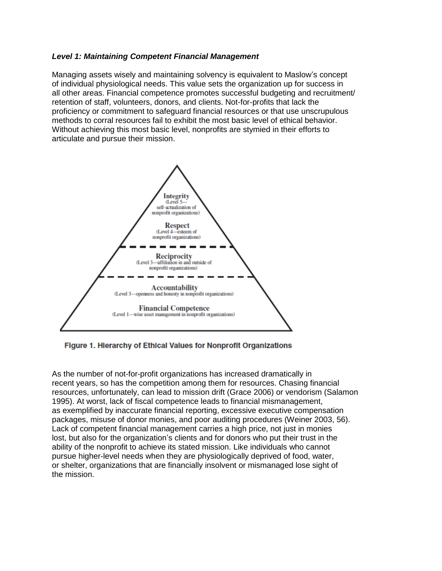#### *Level 1: Maintaining Competent Financial Management*

Managing assets wisely and maintaining solvency is equivalent to Maslow's concept of individual physiological needs. This value sets the organization up for success in all other areas. Financial competence promotes successful budgeting and recruitment/ retention of staff, volunteers, donors, and clients. Not-for-profits that lack the proficiency or commitment to safeguard financial resources or that use unscrupulous methods to corral resources fail to exhibit the most basic level of ethical behavior. Without achieving this most basic level, nonprofits are stymied in their efforts to articulate and pursue their mission.



Figure 1. Hierarchy of Ethical Values for Nonprofit Organizations

As the number of not-for-profit organizations has increased dramatically in recent years, so has the competition among them for resources. Chasing financial resources, unfortunately, can lead to mission drift (Grace 2006) or vendorism (Salamon 1995). At worst, lack of fiscal competence leads to financial mismanagement, as exemplified by inaccurate financial reporting, excessive executive compensation packages, misuse of donor monies, and poor auditing procedures (Weiner 2003, 56). Lack of competent financial management carries a high price, not just in monies lost, but also for the organization's clients and for donors who put their trust in the ability of the nonprofit to achieve its stated mission. Like individuals who cannot pursue higher-level needs when they are physiologically deprived of food, water, or shelter, organizations that are financially insolvent or mismanaged lose sight of the mission.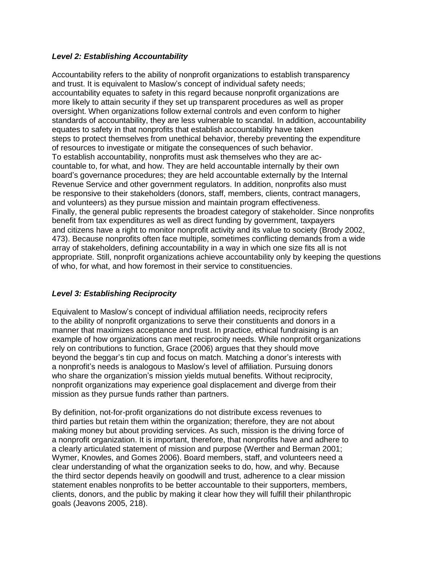# *Level 2: Establishing Accountability*

Accountability refers to the ability of nonprofit organizations to establish transparency and trust. It is equivalent to Maslow's concept of individual safety needs; accountability equates to safety in this regard because nonprofit organizations are more likely to attain security if they set up transparent procedures as well as proper oversight. When organizations follow external controls and even conform to higher standards of accountability, they are less vulnerable to scandal. In addition, accountability equates to safety in that nonprofits that establish accountability have taken steps to protect themselves from unethical behavior, thereby preventing the expenditure of resources to investigate or mitigate the consequences of such behavior. To establish accountability, nonprofits must ask themselves who they are accountable to, for what, and how. They are held accountable internally by their own board's governance procedures; they are held accountable externally by the Internal Revenue Service and other government regulators. In addition, nonprofits also must be responsive to their stakeholders (donors, staff, members, clients, contract managers, and volunteers) as they pursue mission and maintain program effectiveness. Finally, the general public represents the broadest category of stakeholder. Since nonprofits benefit from tax expenditures as well as direct funding by government, taxpayers and citizens have a right to monitor nonprofit activity and its value to society (Brody 2002, 473). Because nonprofits often face multiple, sometimes conflicting demands from a wide array of stakeholders, defining accountability in a way in which one size fits all is not appropriate. Still, nonprofit organizations achieve accountability only by keeping the questions of who, for what, and how foremost in their service to constituencies.

# *Level 3: Establishing Reciprocity*

Equivalent to Maslow's concept of individual affiliation needs, reciprocity refers to the ability of nonprofit organizations to serve their constituents and donors in a manner that maximizes acceptance and trust. In practice, ethical fundraising is an example of how organizations can meet reciprocity needs. While nonprofit organizations rely on contributions to function, Grace (2006) argues that they should move beyond the beggar's tin cup and focus on match. Matching a donor's interests with a nonprofit's needs is analogous to Maslow's level of affiliation. Pursuing donors who share the organization's mission yields mutual benefits. Without reciprocity, nonprofit organizations may experience goal displacement and diverge from their mission as they pursue funds rather than partners.

By definition, not-for-profit organizations do not distribute excess revenues to third parties but retain them within the organization; therefore, they are not about making money but about providing services. As such, mission is the driving force of a nonprofit organization. It is important, therefore, that nonprofits have and adhere to a clearly articulated statement of mission and purpose (Werther and Berman 2001; Wymer, Knowles, and Gomes 2006). Board members, staff, and volunteers need a clear understanding of what the organization seeks to do, how, and why. Because the third sector depends heavily on goodwill and trust, adherence to a clear mission statement enables nonprofits to be better accountable to their supporters, members, clients, donors, and the public by making it clear how they will fulfill their philanthropic goals (Jeavons 2005, 218).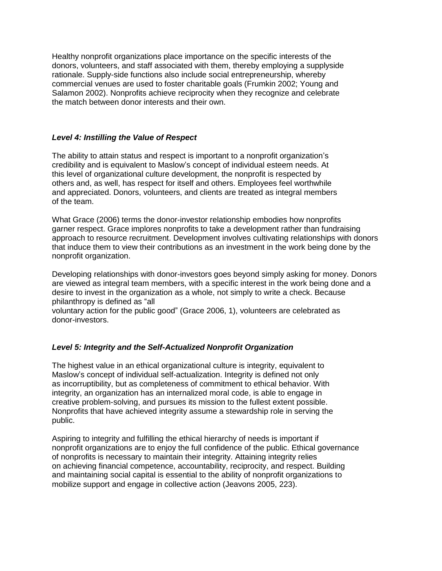Healthy nonprofit organizations place importance on the specific interests of the donors, volunteers, and staff associated with them, thereby employing a supplyside rationale. Supply-side functions also include social entrepreneurship, whereby commercial venues are used to foster charitable goals (Frumkin 2002; Young and Salamon 2002). Nonprofits achieve reciprocity when they recognize and celebrate the match between donor interests and their own.

### *Level 4: Instilling the Value of Respect*

The ability to attain status and respect is important to a nonprofit organization's credibility and is equivalent to Maslow's concept of individual esteem needs. At this level of organizational culture development, the nonprofit is respected by others and, as well, has respect for itself and others. Employees feel worthwhile and appreciated. Donors, volunteers, and clients are treated as integral members of the team.

What Grace (2006) terms the donor-investor relationship embodies how nonprofits garner respect. Grace implores nonprofits to take a development rather than fundraising approach to resource recruitment. Development involves cultivating relationships with donors that induce them to view their contributions as an investment in the work being done by the nonprofit organization.

Developing relationships with donor-investors goes beyond simply asking for money. Donors are viewed as integral team members, with a specific interest in the work being done and a desire to invest in the organization as a whole, not simply to write a check. Because philanthropy is defined as "all

voluntary action for the public good" (Grace 2006, 1), volunteers are celebrated as donor-investors.

# *Level 5: Integrity and the Self-Actualized Nonprofit Organization*

The highest value in an ethical organizational culture is integrity, equivalent to Maslow's concept of individual self-actualization. Integrity is defined not only as incorruptibility, but as completeness of commitment to ethical behavior. With integrity, an organization has an internalized moral code, is able to engage in creative problem-solving, and pursues its mission to the fullest extent possible. Nonprofits that have achieved integrity assume a stewardship role in serving the public.

Aspiring to integrity and fulfilling the ethical hierarchy of needs is important if nonprofit organizations are to enjoy the full confidence of the public. Ethical governance of nonprofits is necessary to maintain their integrity. Attaining integrity relies on achieving financial competence, accountability, reciprocity, and respect. Building and maintaining social capital is essential to the ability of nonprofit organizations to mobilize support and engage in collective action (Jeavons 2005, 223).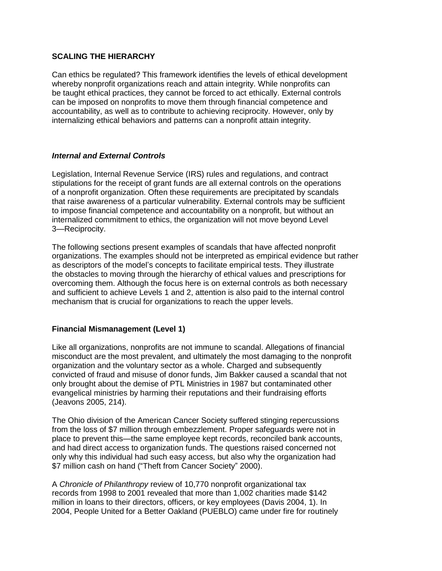# **SCALING THE HIERARCHY**

Can ethics be regulated? This framework identifies the levels of ethical development whereby nonprofit organizations reach and attain integrity. While nonprofits can be taught ethical practices, they cannot be forced to act ethically. External controls can be imposed on nonprofits to move them through financial competence and accountability, as well as to contribute to achieving reciprocity. However, only by internalizing ethical behaviors and patterns can a nonprofit attain integrity.

#### *Internal and External Controls*

Legislation, Internal Revenue Service (IRS) rules and regulations, and contract stipulations for the receipt of grant funds are all external controls on the operations of a nonprofit organization. Often these requirements are precipitated by scandals that raise awareness of a particular vulnerability. External controls may be sufficient to impose financial competence and accountability on a nonprofit, but without an internalized commitment to ethics, the organization will not move beyond Level 3—Reciprocity.

The following sections present examples of scandals that have affected nonprofit organizations. The examples should not be interpreted as empirical evidence but rather as descriptors of the model's concepts to facilitate empirical tests. They illustrate the obstacles to moving through the hierarchy of ethical values and prescriptions for overcoming them. Although the focus here is on external controls as both necessary and sufficient to achieve Levels 1 and 2, attention is also paid to the internal control mechanism that is crucial for organizations to reach the upper levels.

# **Financial Mismanagement (Level 1)**

Like all organizations, nonprofits are not immune to scandal. Allegations of financial misconduct are the most prevalent, and ultimately the most damaging to the nonprofit organization and the voluntary sector as a whole. Charged and subsequently convicted of fraud and misuse of donor funds, Jim Bakker caused a scandal that not only brought about the demise of PTL Ministries in 1987 but contaminated other evangelical ministries by harming their reputations and their fundraising efforts (Jeavons 2005, 214).

The Ohio division of the American Cancer Society suffered stinging repercussions from the loss of \$7 million through embezzlement. Proper safeguards were not in place to prevent this—the same employee kept records, reconciled bank accounts, and had direct access to organization funds. The questions raised concerned not only why this individual had such easy access, but also why the organization had \$7 million cash on hand ("Theft from Cancer Society" 2000).

A *Chronicle of Philanthropy* review of 10,770 nonprofit organizational tax records from 1998 to 2001 revealed that more than 1,002 charities made \$142 million in loans to their directors, officers, or key employees (Davis 2004, 1). In 2004, People United for a Better Oakland (PUEBLO) came under fire for routinely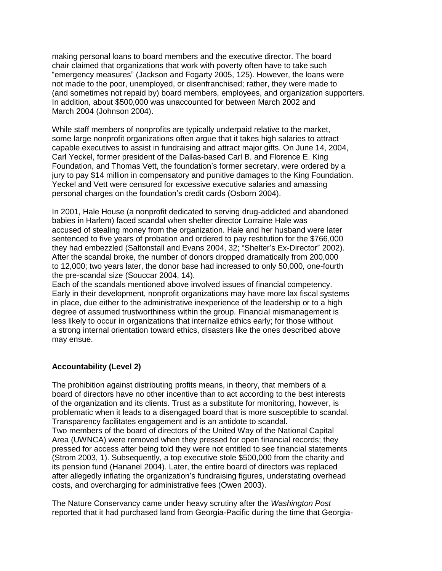making personal loans to board members and the executive director. The board chair claimed that organizations that work with poverty often have to take such "emergency measures" (Jackson and Fogarty 2005, 125). However, the loans were not made to the poor, unemployed, or disenfranchised; rather, they were made to (and sometimes not repaid by) board members, employees, and organization supporters. In addition, about \$500,000 was unaccounted for between March 2002 and March 2004 (Johnson 2004).

While staff members of nonprofits are typically underpaid relative to the market, some large nonprofit organizations often argue that it takes high salaries to attract capable executives to assist in fundraising and attract major gifts. On June 14, 2004, Carl Yeckel, former president of the Dallas-based Carl B. and Florence E. King Foundation, and Thomas Vett, the foundation's former secretary, were ordered by a jury to pay \$14 million in compensatory and punitive damages to the King Foundation. Yeckel and Vett were censured for excessive executive salaries and amassing personal charges on the foundation's credit cards (Osborn 2004).

In 2001, Hale House (a nonprofit dedicated to serving drug-addicted and abandoned babies in Harlem) faced scandal when shelter director Lorraine Hale was accused of stealing money from the organization. Hale and her husband were later sentenced to five years of probation and ordered to pay restitution for the \$766,000 they had embezzled (Saltonstall and Evans 2004, 32; "Shelter's Ex-Director" 2002). After the scandal broke, the number of donors dropped dramatically from 200,000 to 12,000; two years later, the donor base had increased to only 50,000, one-fourth the pre-scandal size (Souccar 2004, 14).

Each of the scandals mentioned above involved issues of financial competency. Early in their development, nonprofit organizations may have more lax fiscal systems in place, due either to the administrative inexperience of the leadership or to a high degree of assumed trustworthiness within the group. Financial mismanagement is less likely to occur in organizations that internalize ethics early; for those without a strong internal orientation toward ethics, disasters like the ones described above may ensue.

# **Accountability (Level 2)**

The prohibition against distributing profits means, in theory, that members of a board of directors have no other incentive than to act according to the best interests of the organization and its clients. Trust as a substitute for monitoring, however, is problematic when it leads to a disengaged board that is more susceptible to scandal. Transparency facilitates engagement and is an antidote to scandal. Two members of the board of directors of the United Way of the National Capital Area (UWNCA) were removed when they pressed for open financial records; they pressed for access after being told they were not entitled to see financial statements (Strom 2003, 1). Subsequently, a top executive stole \$500,000 from the charity and its pension fund (Hananel 2004). Later, the entire board of directors was replaced after allegedly inflating the organization's fundraising figures, understating overhead costs, and overcharging for administrative fees (Owen 2003).

The Nature Conservancy came under heavy scrutiny after the *Washington Post* reported that it had purchased land from Georgia-Pacific during the time that Georgia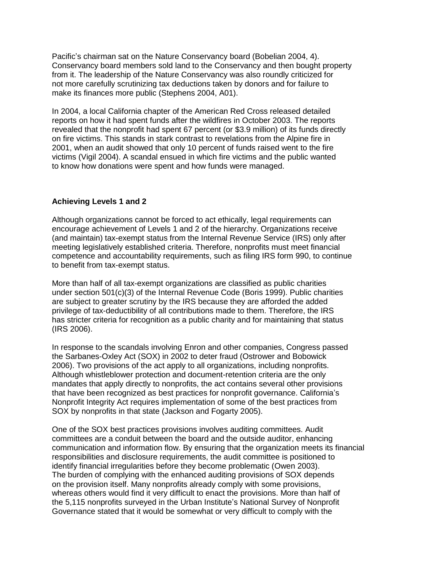Pacific's chairman sat on the Nature Conservancy board (Bobelian 2004, 4). Conservancy board members sold land to the Conservancy and then bought property from it. The leadership of the Nature Conservancy was also roundly criticized for not more carefully scrutinizing tax deductions taken by donors and for failure to make its finances more public (Stephens 2004, A01).

In 2004, a local California chapter of the American Red Cross released detailed reports on how it had spent funds after the wildfires in October 2003. The reports revealed that the nonprofit had spent 67 percent (or \$3.9 million) of its funds directly on fire victims. This stands in stark contrast to revelations from the Alpine fire in 2001, when an audit showed that only 10 percent of funds raised went to the fire victims (Vigil 2004). A scandal ensued in which fire victims and the public wanted to know how donations were spent and how funds were managed.

# **Achieving Levels 1 and 2**

Although organizations cannot be forced to act ethically, legal requirements can encourage achievement of Levels 1 and 2 of the hierarchy. Organizations receive (and maintain) tax-exempt status from the Internal Revenue Service (IRS) only after meeting legislatively established criteria. Therefore, nonprofits must meet financial competence and accountability requirements, such as filing IRS form 990, to continue to benefit from tax-exempt status.

More than half of all tax-exempt organizations are classified as public charities under section 501(c)(3) of the Internal Revenue Code (Boris 1999). Public charities are subject to greater scrutiny by the IRS because they are afforded the added privilege of tax-deductibility of all contributions made to them. Therefore, the IRS has stricter criteria for recognition as a public charity and for maintaining that status (IRS 2006).

In response to the scandals involving Enron and other companies, Congress passed the Sarbanes-Oxley Act (SOX) in 2002 to deter fraud (Ostrower and Bobowick 2006). Two provisions of the act apply to all organizations, including nonprofits. Although whistleblower protection and document-retention criteria are the only mandates that apply directly to nonprofits, the act contains several other provisions that have been recognized as best practices for nonprofit governance. California's Nonprofit Integrity Act requires implementation of some of the best practices from SOX by nonprofits in that state (Jackson and Fogarty 2005).

One of the SOX best practices provisions involves auditing committees. Audit committees are a conduit between the board and the outside auditor, enhancing communication and information flow. By ensuring that the organization meets its financial responsibilities and disclosure requirements, the audit committee is positioned to identify financial irregularities before they become problematic (Owen 2003). The burden of complying with the enhanced auditing provisions of SOX depends on the provision itself. Many nonprofits already comply with some provisions, whereas others would find it very difficult to enact the provisions. More than half of the 5,115 nonprofits surveyed in the Urban Institute's National Survey of Nonprofit Governance stated that it would be somewhat or very difficult to comply with the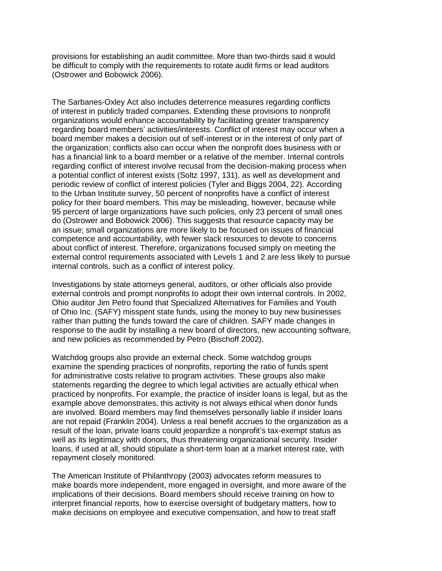provisions for establishing an audit committee. More than two-thirds said it would be difficult to comply with the requirements to rotate audit firms or lead auditors (Ostrower and Bobowick 2006).

The Sarbanes-Oxley Act also includes deterrence measures regarding conflicts of interest in publicly traded companies. Extending these provisions to nonprofit organizations would enhance accountability by facilitating greater transparency regarding board members' activities/interests. Conflict of interest may occur when a board member makes a decision out of self-interest or in the interest of only part of the organization; conflicts also can occur when the nonprofit does business with or has a financial link to a board member or a relative of the member. Internal controls regarding conflict of interest involve recusal from the decision-making process when a potential conflict of interest exists (Soltz 1997, 131), as well as development and periodic review of conflict of interest policies (Tyler and Biggs 2004, 22). According to the Urban Institute survey, 50 percent of nonprofits have a conflict of interest policy for their board members. This may be misleading, however, because while 95 percent of large organizations have such policies, only 23 percent of small ones do (Ostrower and Bobowick 2006). This suggests that resource capacity may be an issue; small organizations are more likely to be focused on issues of financial competence and accountability, with fewer slack resources to devote to concerns about conflict of interest. Therefore, organizations focused simply on meeting the external control requirements associated with Levels 1 and 2 are less likely to pursue internal controls, such as a conflict of interest policy.

Investigations by state attorneys general, auditors, or other officials also provide external controls and prompt nonprofits to adopt their own internal controls. In 2002, Ohio auditor Jim Petro found that Specialized Alternatives for Families and Youth of Ohio Inc. (SAFY) misspent state funds, using the money to buy new businesses rather than putting the funds toward the care of children. SAFY made changes in response to the audit by installing a new board of directors, new accounting software, and new policies as recommended by Petro (Bischoff 2002).

Watchdog groups also provide an external check. Some watchdog groups examine the spending practices of nonprofits, reporting the ratio of funds spent for administrative costs relative to program activities. These groups also make statements regarding the degree to which legal activities are actually ethical when practiced by nonprofits. For example, the practice of insider loans is legal, but as the example above demonstrates, this activity is not always ethical when donor funds are involved. Board members may find themselves personally liable if insider loans are not repaid (Franklin 2004). Unless a real benefit accrues to the organization as a result of the loan, private loans could jeopardize a nonprofit's tax-exempt status as well as its legitimacy with donors, thus threatening organizational security. Insider loans, if used at all, should stipulate a short-term loan at a market interest rate, with repayment closely monitored.

The American Institute of Philanthropy (2003) advocates reform measures to make boards more independent, more engaged in oversight, and more aware of the implications of their decisions. Board members should receive training on how to interpret financial reports, how to exercise oversight of budgetary matters, how to make decisions on employee and executive compensation, and how to treat staff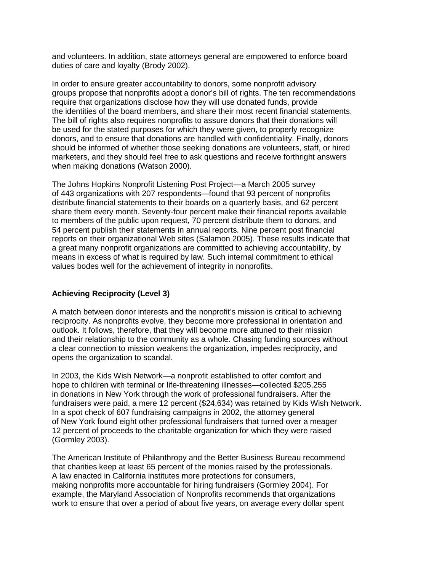and volunteers. In addition, state attorneys general are empowered to enforce board duties of care and loyalty (Brody 2002).

In order to ensure greater accountability to donors, some nonprofit advisory groups propose that nonprofits adopt a donor's bill of rights. The ten recommendations require that organizations disclose how they will use donated funds, provide the identities of the board members, and share their most recent financial statements. The bill of rights also requires nonprofits to assure donors that their donations will be used for the stated purposes for which they were given, to properly recognize donors, and to ensure that donations are handled with confidentiality. Finally, donors should be informed of whether those seeking donations are volunteers, staff, or hired marketers, and they should feel free to ask questions and receive forthright answers when making donations (Watson 2000).

The Johns Hopkins Nonprofit Listening Post Project—a March 2005 survey of 443 organizations with 207 respondents—found that 93 percent of nonprofits distribute financial statements to their boards on a quarterly basis, and 62 percent share them every month. Seventy-four percent make their financial reports available to members of the public upon request, 70 percent distribute them to donors, and 54 percent publish their statements in annual reports. Nine percent post financial reports on their organizational Web sites (Salamon 2005). These results indicate that a great many nonprofit organizations are committed to achieving accountability, by means in excess of what is required by law. Such internal commitment to ethical values bodes well for the achievement of integrity in nonprofits.

# **Achieving Reciprocity (Level 3)**

A match between donor interests and the nonprofit's mission is critical to achieving reciprocity. As nonprofits evolve, they become more professional in orientation and outlook. It follows, therefore, that they will become more attuned to their mission and their relationship to the community as a whole. Chasing funding sources without a clear connection to mission weakens the organization, impedes reciprocity, and opens the organization to scandal.

In 2003, the Kids Wish Network—a nonprofit established to offer comfort and hope to children with terminal or life-threatening illnesses—collected \$205,255 in donations in New York through the work of professional fundraisers. After the fundraisers were paid, a mere 12 percent (\$24,634) was retained by Kids Wish Network. In a spot check of 607 fundraising campaigns in 2002, the attorney general of New York found eight other professional fundraisers that turned over a meager 12 percent of proceeds to the charitable organization for which they were raised (Gormley 2003).

The American Institute of Philanthropy and the Better Business Bureau recommend that charities keep at least 65 percent of the monies raised by the professionals. A law enacted in California institutes more protections for consumers, making nonprofits more accountable for hiring fundraisers (Gormley 2004). For example, the Maryland Association of Nonprofits recommends that organizations work to ensure that over a period of about five years, on average every dollar spent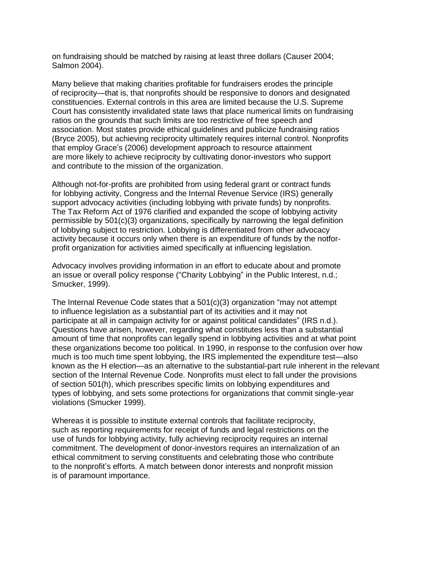on fundraising should be matched by raising at least three dollars (Causer 2004; Salmon 2004).

Many believe that making charities profitable for fundraisers erodes the principle of reciprocity—that is, that nonprofits should be responsive to donors and designated constituencies. External controls in this area are limited because the U.S. Supreme Court has consistently invalidated state laws that place numerical limits on fundraising ratios on the grounds that such limits are too restrictive of free speech and association. Most states provide ethical guidelines and publicize fundraising ratios (Bryce 2005), but achieving reciprocity ultimately requires internal control. Nonprofits that employ Grace's (2006) development approach to resource attainment are more likely to achieve reciprocity by cultivating donor-investors who support and contribute to the mission of the organization.

Although not-for-profits are prohibited from using federal grant or contract funds for lobbying activity, Congress and the Internal Revenue Service (IRS) generally support advocacy activities (including lobbying with private funds) by nonprofits. The Tax Reform Act of 1976 clarified and expanded the scope of lobbying activity permissible by 501(c)(3) organizations, specifically by narrowing the legal definition of lobbying subject to restriction. Lobbying is differentiated from other advocacy activity because it occurs only when there is an expenditure of funds by the notforprofit organization for activities aimed specifically at influencing legislation.

Advocacy involves providing information in an effort to educate about and promote an issue or overall policy response ("Charity Lobbying" in the Public Interest, n.d.; Smucker, 1999).

The Internal Revenue Code states that a 501(c)(3) organization "may not attempt to influence legislation as a substantial part of its activities and it may not participate at all in campaign activity for or against political candidates" (IRS n.d.). Questions have arisen, however, regarding what constitutes less than a substantial amount of time that nonprofits can legally spend in lobbying activities and at what point these organizations become too political. In 1990, in response to the confusion over how much is too much time spent lobbying, the IRS implemented the expenditure test—also known as the H election—as an alternative to the substantial-part rule inherent in the relevant section of the Internal Revenue Code. Nonprofits must elect to fall under the provisions of section 501(h), which prescribes specific limits on lobbying expenditures and types of lobbying, and sets some protections for organizations that commit single-year violations (Smucker 1999).

Whereas it is possible to institute external controls that facilitate reciprocity, such as reporting requirements for receipt of funds and legal restrictions on the use of funds for lobbying activity, fully achieving reciprocity requires an internal commitment. The development of donor-investors requires an internalization of an ethical commitment to serving constituents and celebrating those who contribute to the nonprofit's efforts. A match between donor interests and nonprofit mission is of paramount importance.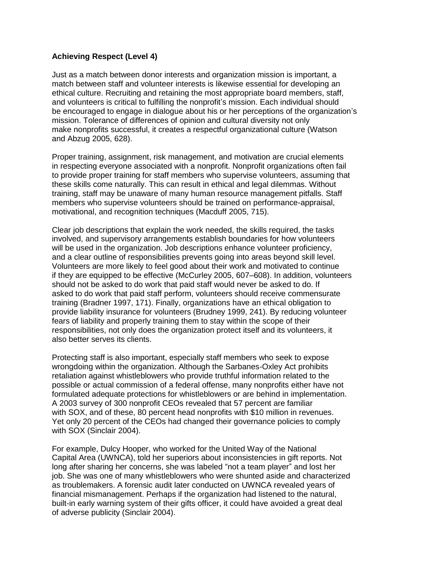# **Achieving Respect (Level 4)**

Just as a match between donor interests and organization mission is important, a match between staff and volunteer interests is likewise essential for developing an ethical culture. Recruiting and retaining the most appropriate board members, staff, and volunteers is critical to fulfilling the nonprofit's mission. Each individual should be encouraged to engage in dialogue about his or her perceptions of the organization's mission. Tolerance of differences of opinion and cultural diversity not only make nonprofits successful, it creates a respectful organizational culture (Watson and Abzug 2005, 628).

Proper training, assignment, risk management, and motivation are crucial elements in respecting everyone associated with a nonprofit. Nonprofit organizations often fail to provide proper training for staff members who supervise volunteers, assuming that these skills come naturally. This can result in ethical and legal dilemmas. Without training, staff may be unaware of many human resource management pitfalls. Staff members who supervise volunteers should be trained on performance-appraisal, motivational, and recognition techniques (Macduff 2005, 715).

Clear job descriptions that explain the work needed, the skills required, the tasks involved, and supervisory arrangements establish boundaries for how volunteers will be used in the organization. Job descriptions enhance volunteer proficiency, and a clear outline of responsibilities prevents going into areas beyond skill level. Volunteers are more likely to feel good about their work and motivated to continue if they are equipped to be effective (McCurley 2005, 607–608). In addition, volunteers should not be asked to do work that paid staff would never be asked to do. If asked to do work that paid staff perform, volunteers should receive commensurate training (Bradner 1997, 171). Finally, organizations have an ethical obligation to provide liability insurance for volunteers (Brudney 1999, 241). By reducing volunteer fears of liability and properly training them to stay within the scope of their responsibilities, not only does the organization protect itself and its volunteers, it also better serves its clients.

Protecting staff is also important, especially staff members who seek to expose wrongdoing within the organization. Although the Sarbanes-Oxley Act prohibits retaliation against whistleblowers who provide truthful information related to the possible or actual commission of a federal offense, many nonprofits either have not formulated adequate protections for whistleblowers or are behind in implementation. A 2003 survey of 300 nonprofit CEOs revealed that 57 percent are familiar with SOX, and of these, 80 percent head nonprofits with \$10 million in revenues. Yet only 20 percent of the CEOs had changed their governance policies to comply with SOX (Sinclair 2004).

For example, Dulcy Hooper, who worked for the United Way of the National Capital Area (UWNCA), told her superiors about inconsistencies in gift reports. Not long after sharing her concerns, she was labeled "not a team player" and lost her job. She was one of many whistleblowers who were shunted aside and characterized as troublemakers. A forensic audit later conducted on UWNCA revealed years of financial mismanagement. Perhaps if the organization had listened to the natural, built-in early warning system of their gifts officer, it could have avoided a great deal of adverse publicity (Sinclair 2004).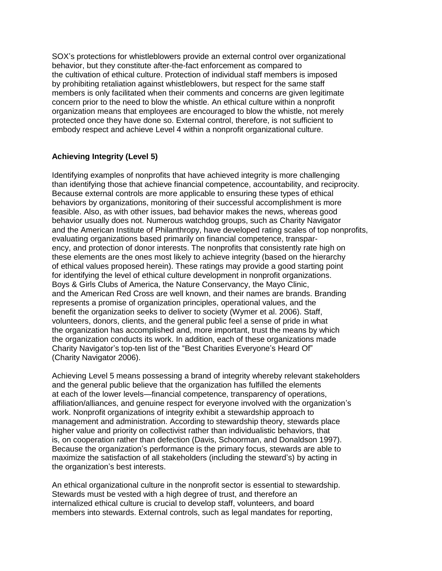SOX's protections for whistleblowers provide an external control over organizational behavior, but they constitute after-the-fact enforcement as compared to the cultivation of ethical culture. Protection of individual staff members is imposed by prohibiting retaliation against whistleblowers, but respect for the same staff members is only facilitated when their comments and concerns are given legitimate concern prior to the need to blow the whistle. An ethical culture within a nonprofit organization means that employees are encouraged to blow the whistle, not merely protected once they have done so. External control, therefore, is not sufficient to embody respect and achieve Level 4 within a nonprofit organizational culture.

# **Achieving Integrity (Level 5)**

Identifying examples of nonprofits that have achieved integrity is more challenging than identifying those that achieve financial competence, accountability, and reciprocity. Because external controls are more applicable to ensuring these types of ethical behaviors by organizations, monitoring of their successful accomplishment is more feasible. Also, as with other issues, bad behavior makes the news, whereas good behavior usually does not. Numerous watchdog groups, such as Charity Navigator and the American Institute of Philanthropy, have developed rating scales of top nonprofits, evaluating organizations based primarily on financial competence, transparency, and protection of donor interests. The nonprofits that consistently rate high on these elements are the ones most likely to achieve integrity (based on the hierarchy of ethical values proposed herein). These ratings may provide a good starting point for identifying the level of ethical culture development in nonprofit organizations. Boys & Girls Clubs of America, the Nature Conservancy, the Mayo Clinic, and the American Red Cross are well known, and their names are brands. Branding represents a promise of organization principles, operational values, and the benefit the organization seeks to deliver to society (Wymer et al. 2006). Staff, volunteers, donors, clients, and the general public feel a sense of pride in what the organization has accomplished and, more important, trust the means by which the organization conducts its work. In addition, each of these organizations made Charity Navigator's top-ten list of the "Best Charities Everyone's Heard Of" (Charity Navigator 2006).

Achieving Level 5 means possessing a brand of integrity whereby relevant stakeholders and the general public believe that the organization has fulfilled the elements at each of the lower levels—financial competence, transparency of operations, affiliation/alliances, and genuine respect for everyone involved with the organization's work. Nonprofit organizations of integrity exhibit a stewardship approach to management and administration. According to stewardship theory, stewards place higher value and priority on collectivist rather than individualistic behaviors, that is, on cooperation rather than defection (Davis, Schoorman, and Donaldson 1997). Because the organization's performance is the primary focus, stewards are able to maximize the satisfaction of all stakeholders (including the steward's) by acting in the organization's best interests.

An ethical organizational culture in the nonprofit sector is essential to stewardship. Stewards must be vested with a high degree of trust, and therefore an internalized ethical culture is crucial to develop staff, volunteers, and board members into stewards. External controls, such as legal mandates for reporting,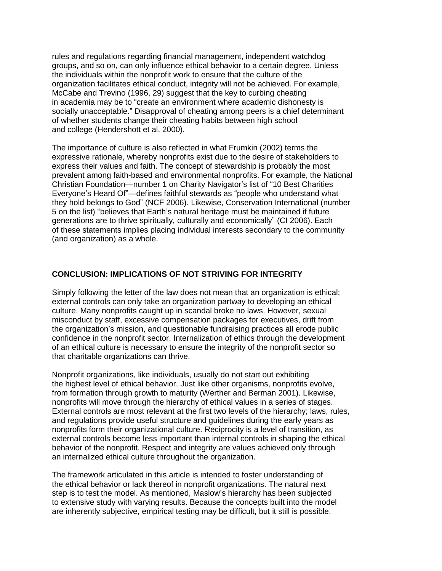rules and regulations regarding financial management, independent watchdog groups, and so on, can only influence ethical behavior to a certain degree. Unless the individuals within the nonprofit work to ensure that the culture of the organization facilitates ethical conduct, integrity will not be achieved. For example, McCabe and Trevino (1996, 29) suggest that the key to curbing cheating in academia may be to "create an environment where academic dishonesty is socially unacceptable." Disapproval of cheating among peers is a chief determinant of whether students change their cheating habits between high school and college (Hendershott et al. 2000).

The importance of culture is also reflected in what Frumkin (2002) terms the expressive rationale, whereby nonprofits exist due to the desire of stakeholders to express their values and faith. The concept of stewardship is probably the most prevalent among faith-based and environmental nonprofits. For example, the National Christian Foundation—number 1 on Charity Navigator's list of "10 Best Charities Everyone's Heard Of"—defines faithful stewards as "people who understand what they hold belongs to God" (NCF 2006). Likewise, Conservation International (number 5 on the list) "believes that Earth's natural heritage must be maintained if future generations are to thrive spiritually, culturally and economically" (CI 2006). Each of these statements implies placing individual interests secondary to the community (and organization) as a whole.

#### **CONCLUSION: IMPLICATIONS OF NOT STRIVING FOR INTEGRITY**

Simply following the letter of the law does not mean that an organization is ethical; external controls can only take an organization partway to developing an ethical culture. Many nonprofits caught up in scandal broke no laws. However, sexual misconduct by staff, excessive compensation packages for executives, drift from the organization's mission, and questionable fundraising practices all erode public confidence in the nonprofit sector. Internalization of ethics through the development of an ethical culture is necessary to ensure the integrity of the nonprofit sector so that charitable organizations can thrive.

Nonprofit organizations, like individuals, usually do not start out exhibiting the highest level of ethical behavior. Just like other organisms, nonprofits evolve, from formation through growth to maturity (Werther and Berman 2001). Likewise, nonprofits will move through the hierarchy of ethical values in a series of stages. External controls are most relevant at the first two levels of the hierarchy; laws, rules, and regulations provide useful structure and guidelines during the early years as nonprofits form their organizational culture. Reciprocity is a level of transition, as external controls become less important than internal controls in shaping the ethical behavior of the nonprofit. Respect and integrity are values achieved only through an internalized ethical culture throughout the organization.

The framework articulated in this article is intended to foster understanding of the ethical behavior or lack thereof in nonprofit organizations. The natural next step is to test the model. As mentioned, Maslow's hierarchy has been subjected to extensive study with varying results. Because the concepts built into the model are inherently subjective, empirical testing may be difficult, but it still is possible.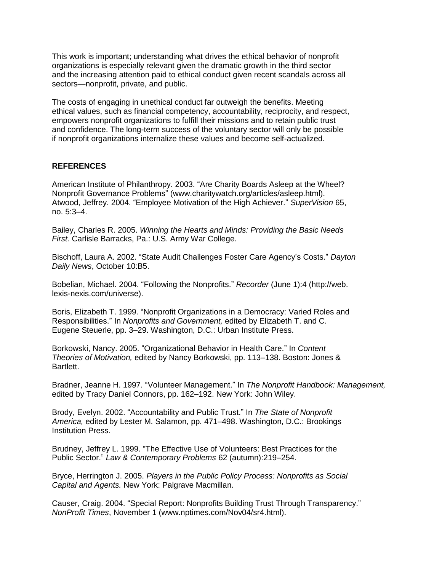This work is important; understanding what drives the ethical behavior of nonprofit organizations is especially relevant given the dramatic growth in the third sector and the increasing attention paid to ethical conduct given recent scandals across all sectors—nonprofit, private, and public.

The costs of engaging in unethical conduct far outweigh the benefits. Meeting ethical values, such as financial competency, accountability, reciprocity, and respect, empowers nonprofit organizations to fulfill their missions and to retain public trust and confidence. The long-term success of the voluntary sector will only be possible if nonprofit organizations internalize these values and become self-actualized.

# **REFERENCES**

American Institute of Philanthropy. 2003. "Are Charity Boards Asleep at the Wheel? Nonprofit Governance Problems" (www.charitywatch.org/articles/asleep.html). Atwood, Jeffrey. 2004. "Employee Motivation of the High Achiever." *SuperVision* 65, no. 5:3–4.

Bailey, Charles R. 2005. *Winning the Hearts and Minds: Providing the Basic Needs First.* Carlisle Barracks, Pa.: U.S. Army War College.

Bischoff, Laura A. 2002. "State Audit Challenges Foster Care Agency's Costs." *Dayton Daily News*, October 10:B5.

Bobelian, Michael. 2004. "Following the Nonprofits." *Recorder* (June 1):4 (http://web. lexis-nexis.com/universe).

Boris, Elizabeth T. 1999. "Nonprofit Organizations in a Democracy: Varied Roles and Responsibilities." In *Nonprofits and Government,* edited by Elizabeth T. and C. Eugene Steuerle, pp. 3–29. Washington, D.C.: Urban Institute Press.

Borkowski, Nancy. 2005. "Organizational Behavior in Health Care." In *Content Theories of Motivation,* edited by Nancy Borkowski, pp. 113–138. Boston: Jones & Bartlett.

Bradner, Jeanne H. 1997. "Volunteer Management." In *The Nonprofit Handbook: Management,* edited by Tracy Daniel Connors, pp. 162–192. New York: John Wiley.

Brody, Evelyn. 2002. "Accountability and Public Trust." In *The State of Nonprofit America,* edited by Lester M. Salamon, pp. 471–498. Washington, D.C.: Brookings Institution Press.

Brudney, Jeffrey L. 1999. "The Effective Use of Volunteers: Best Practices for the Public Sector." *Law & Contemporary Problems* 62 (autumn):219–254.

Bryce, Herrington J. 2005. *Players in the Public Policy Process: Nonprofits as Social Capital and Agents.* New York: Palgrave Macmillan.

Causer, Craig. 2004. "Special Report: Nonprofits Building Trust Through Transparency." *NonProfit Times*, November 1 (www.nptimes.com/Nov04/sr4.html).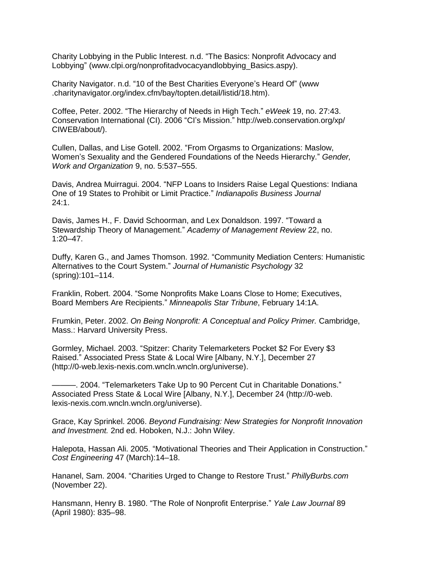Charity Lobbying in the Public Interest. n.d. "The Basics: Nonprofit Advocacy and Lobbying" (www.clpi.org/nonprofitadvocacyandlobbying\_Basics.aspy).

Charity Navigator. n.d. "10 of the Best Charities Everyone's Heard Of" (www .charitynavigator.org/index.cfm/bay/topten.detail/listid/18.htm).

Coffee, Peter. 2002. "The Hierarchy of Needs in High Tech." *eWeek* 19, no. 27:43. Conservation International (CI). 2006 "CI's Mission." http://web.conservation.org/xp/ CIWEB/about/).

Cullen, Dallas, and Lise Gotell. 2002. "From Orgasms to Organizations: Maslow, Women's Sexuality and the Gendered Foundations of the Needs Hierarchy." *Gender, Work and Organization* 9, no. 5:537–555.

Davis, Andrea Muirragui. 2004. "NFP Loans to Insiders Raise Legal Questions: Indiana One of 19 States to Prohibit or Limit Practice." *Indianapolis Business Journal* 24:1.

Davis, James H., F. David Schoorman, and Lex Donaldson. 1997. "Toward a Stewardship Theory of Management." *Academy of Management Review* 22, no. 1:20–47.

Duffy, Karen G., and James Thomson. 1992. "Community Mediation Centers: Humanistic Alternatives to the Court System." *Journal of Humanistic Psychology* 32 (spring):101–114.

Franklin, Robert. 2004. "Some Nonprofits Make Loans Close to Home; Executives, Board Members Are Recipients." *Minneapolis Star Tribune*, February 14:1A.

Frumkin, Peter. 2002. *On Being Nonprofit: A Conceptual and Policy Primer.* Cambridge, Mass.: Harvard University Press.

Gormley, Michael. 2003. "Spitzer: Charity Telemarketers Pocket \$2 For Every \$3 Raised." Associated Press State & Local Wire [Albany, N.Y.], December 27 (http://0-web.lexis-nexis.com.wncln.wncln.org/universe).

-. 2004. "Telemarketers Take Up to 90 Percent Cut in Charitable Donations." Associated Press State & Local Wire [Albany, N.Y.], December 24 (http://0-web. lexis-nexis.com.wncln.wncln.org/universe).

Grace, Kay Sprinkel. 2006. *Beyond Fundraising: New Strategies for Nonprofit Innovation and Investment.* 2nd ed. Hoboken, N.J.: John Wiley.

Halepota, Hassan Ali. 2005. "Motivational Theories and Their Application in Construction." *Cost Engineering* 47 (March):14–18.

Hananel, Sam. 2004. "Charities Urged to Change to Restore Trust." *PhillyBurbs.com* (November 22).

Hansmann, Henry B. 1980. "The Role of Nonprofit Enterprise." *Yale Law Journal* 89 (April 1980): 835–98.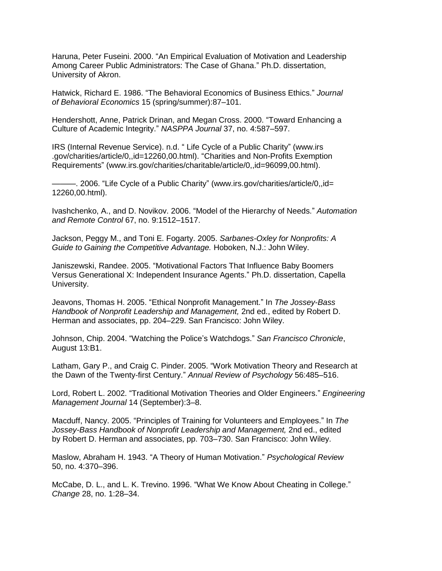Haruna, Peter Fuseini. 2000. "An Empirical Evaluation of Motivation and Leadership Among Career Public Administrators: The Case of Ghana." Ph.D. dissertation, University of Akron.

Hatwick, Richard E. 1986. "The Behavioral Economics of Business Ethics." *Journal of Behavioral Economics* 15 (spring/summer):87–101.

Hendershott, Anne, Patrick Drinan, and Megan Cross. 2000. "Toward Enhancing a Culture of Academic Integrity." *NASPPA Journal* 37, no. 4:587–597.

IRS (Internal Revenue Service). n.d. " Life Cycle of a Public Charity" (www.irs .gov/charities/article/0,,id=12260,00.html). "Charities and Non-Profits Exemption Requirements" (www.irs.gov/charities/charitable/article/0,,id=96099,00.html).

———. 2006. "Life Cycle of a Public Charity" (www.irs.gov/charities/article/0,,id= 12260,00.html).

Ivashchenko, A., and D. Novikov. 2006. "Model of the Hierarchy of Needs." *Automation and Remote Control* 67, no. 9:1512–1517.

Jackson, Peggy M., and Toni E. Fogarty. 2005. *Sarbanes-Oxley for Nonprofits: A Guide to Gaining the Competitive Advantage.* Hoboken, N.J.: John Wiley.

Janiszewski, Randee. 2005. "Motivational Factors That Influence Baby Boomers Versus Generational X: Independent Insurance Agents." Ph.D. dissertation, Capella University.

Jeavons, Thomas H. 2005. "Ethical Nonprofit Management." In *The Jossey-Bass Handbook of Nonprofit Leadership and Management,* 2nd ed., edited by Robert D. Herman and associates, pp. 204–229. San Francisco: John Wiley.

Johnson, Chip. 2004. "Watching the Police's Watchdogs." *San Francisco Chronicle*, August 13:B1.

Latham, Gary P., and Craig C. Pinder. 2005. "Work Motivation Theory and Research at the Dawn of the Twenty-first Century." *Annual Review of Psychology* 56:485–516.

Lord, Robert L. 2002. "Traditional Motivation Theories and Older Engineers." *Engineering Management Journal* 14 (September):3–8.

Macduff, Nancy. 2005. "Principles of Training for Volunteers and Employees." In *The Jossey-Bass Handbook of Nonprofit Leadership and Management,* 2nd ed., edited by Robert D. Herman and associates, pp. 703–730. San Francisco: John Wiley.

Maslow, Abraham H. 1943. "A Theory of Human Motivation." *Psychological Review* 50, no. 4:370–396.

McCabe, D. L., and L. K. Trevino. 1996. "What We Know About Cheating in College." *Change* 28, no. 1:28–34.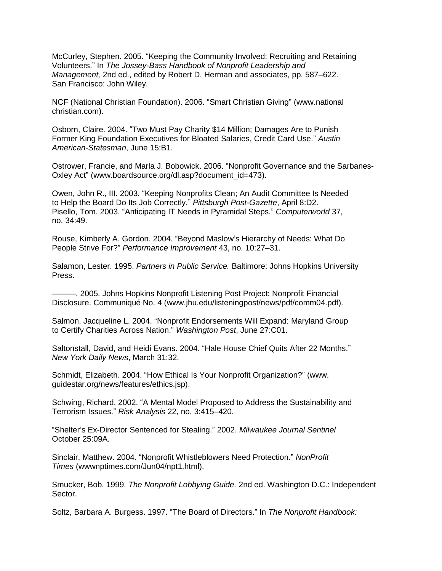McCurley, Stephen. 2005. "Keeping the Community Involved: Recruiting and Retaining Volunteers." In *The Jossey-Bass Handbook of Nonprofit Leadership and Management,* 2nd ed., edited by Robert D. Herman and associates, pp. 587–622. San Francisco: John Wiley.

NCF (National Christian Foundation). 2006. "Smart Christian Giving" (www.national christian.com).

Osborn, Claire. 2004. "Two Must Pay Charity \$14 Million; Damages Are to Punish Former King Foundation Executives for Bloated Salaries, Credit Card Use." *Austin American-Statesman*, June 15:B1.

Ostrower, Francie, and Marla J. Bobowick. 2006. "Nonprofit Governance and the Sarbanes-Oxley Act" (www.boardsource.org/dl.asp?document\_id=473).

Owen, John R., III. 2003. "Keeping Nonprofits Clean; An Audit Committee Is Needed to Help the Board Do Its Job Correctly." *Pittsburgh Post-Gazette*, April 8:D2. Pisello, Tom. 2003. "Anticipating IT Needs in Pyramidal Steps." *Computerworld* 37, no. 34:49.

Rouse, Kimberly A. Gordon. 2004. "Beyond Maslow's Hierarchy of Needs: What Do People Strive For?" *Performance Improvement* 43, no. 10:27–31.

Salamon, Lester. 1995. *Partners in Public Service.* Baltimore: Johns Hopkins University Press.

-. 2005. Johns Hopkins Nonprofit Listening Post Project: Nonprofit Financial Disclosure. Communiqué No. 4 (www.jhu.edu/listeningpost/news/pdf/comm04.pdf).

Salmon, Jacqueline L. 2004. "Nonprofit Endorsements Will Expand: Maryland Group to Certify Charities Across Nation." *Washington Post*, June 27:C01.

Saltonstall, David, and Heidi Evans. 2004. "Hale House Chief Quits After 22 Months." *New York Daily News*, March 31:32.

Schmidt, Elizabeth. 2004. "How Ethical Is Your Nonprofit Organization?" (www. guidestar.org/news/features/ethics.jsp).

Schwing, Richard. 2002. "A Mental Model Proposed to Address the Sustainability and Terrorism Issues." *Risk Analysis* 22, no. 3:415–420.

"Shelter's Ex-Director Sentenced for Stealing." 2002. *Milwaukee Journal Sentinel* October 25:09A.

Sinclair, Matthew. 2004. "Nonprofit Whistleblowers Need Protection." *NonProfit Times* (wwwnptimes.com/Jun04/npt1.html).

Smucker, Bob. 1999. *The Nonprofit Lobbying Guide.* 2nd ed. Washington D.C.: Independent Sector.

Soltz, Barbara A. Burgess. 1997. "The Board of Directors." In *The Nonprofit Handbook:*